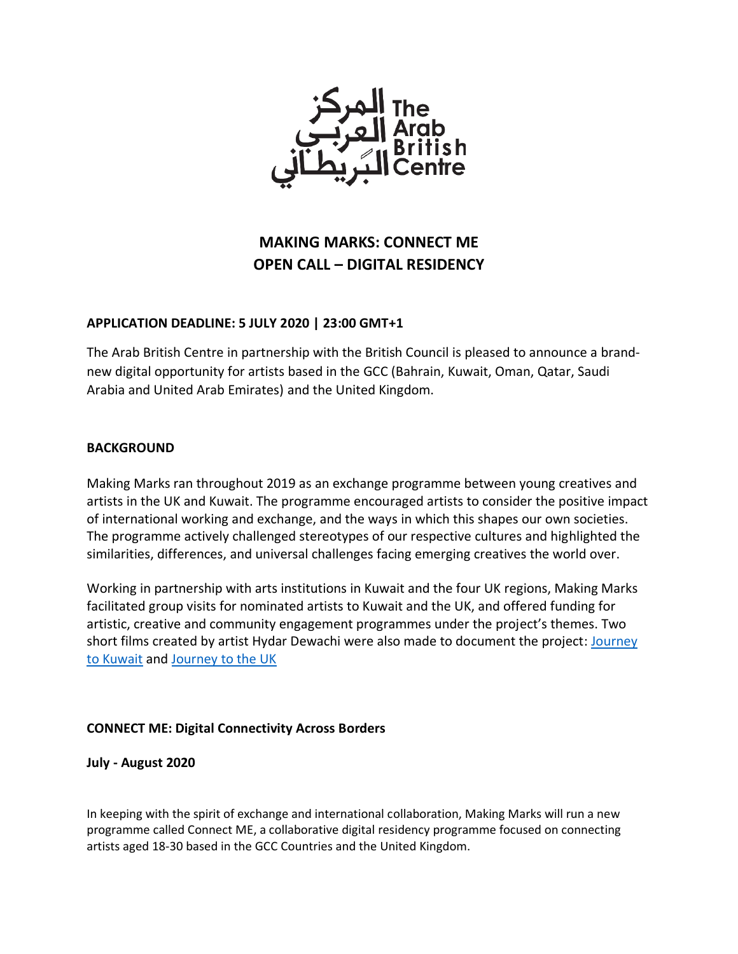

# **MAKING MARKS: CONNECT ME OPEN CALL – DIGITAL RESIDENCY**

#### **APPLICATION DEADLINE: 5 JULY 2020 | 23:00 GMT+1**

The Arab British Centre in partnership with the British Council is pleased to announce a brandnew digital opportunity for artists based in the GCC (Bahrain, Kuwait, Oman, Qatar, Saudi Arabia and United Arab Emirates) and the United Kingdom.

#### **BACKGROUND**

Making Marks ran throughout 2019 as an exchange programme between young creatives and artists in the UK and Kuwait. The programme encouraged artists to consider the positive impact of international working and exchange, and the ways in which this shapes our own societies. The programme actively challenged stereotypes of our respective cultures and highlighted the similarities, differences, and universal challenges facing emerging creatives the world over.

Working in partnership with arts institutions in Kuwait and the four UK regions, Making Marks facilitated group visits for nominated artists to Kuwait and the UK, and offered funding for artistic, creative and community engagement programmes under the project's themes. [Two](https://www.arabbritishcentre.org.uk/projects/making-marks/)  [short films](https://www.arabbritishcentre.org.uk/projects/making-marks/) created by artist Hydar Dewachi were also made to document the project: [Journey](https://www.arabbritishcentre.org.uk/projects/making-marks/)  [to Kuwait](https://www.arabbritishcentre.org.uk/projects/making-marks/) and [Journey to the UK](https://www.arabbritishcentre.org.uk/projects/making-marks-journey-to-the-uk/)

## **CONNECT ME: Digital Connectivity Across Borders**

**July - August 2020**

In keeping with the spirit of exchange and international collaboration, Making Marks will run a new programme called Connect ME, a collaborative digital residency programme focused on connecting artists aged 18-30 based in the GCC Countries and the United Kingdom.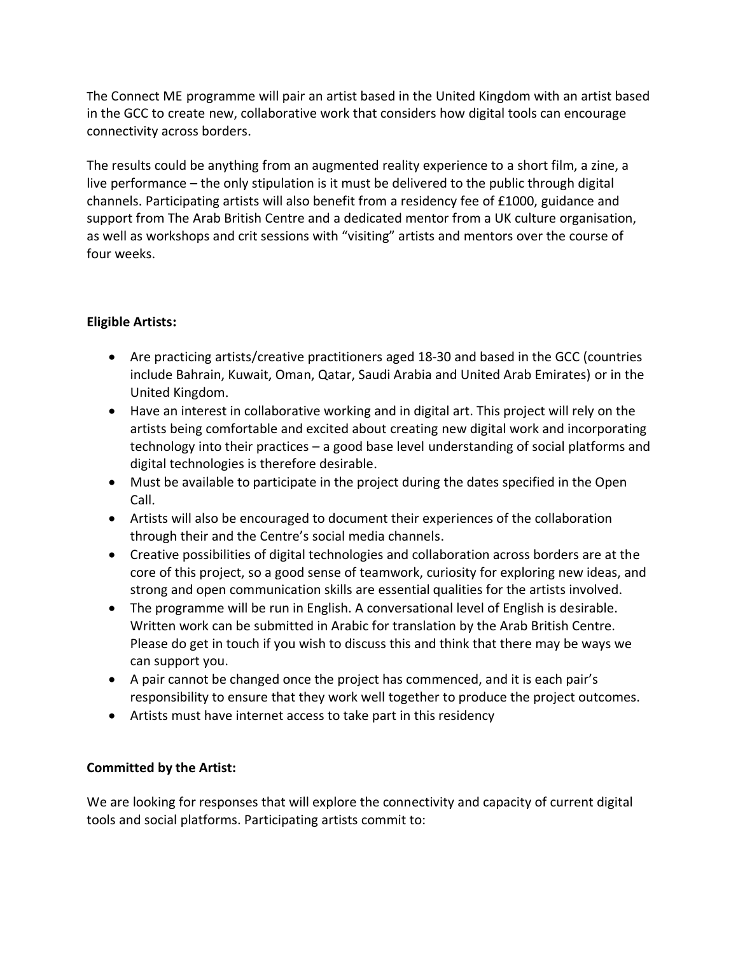The Connect ME programme will pair an artist based in the United Kingdom with an artist based in the GCC to create new, collaborative work that considers how digital tools can encourage connectivity across borders.

The results could be anything from an augmented reality experience to a short film, a zine, a live performance – the only stipulation is it must be delivered to the public through digital channels. Participating artists will also benefit from a residency fee of £1000, guidance and support from The Arab British Centre and a dedicated mentor from a UK culture organisation, as well as workshops and crit sessions with "visiting" artists and mentors over the course of four weeks.

# **Eligible Artists:**

- Are practicing artists/creative practitioners aged 18-30 and based in the GCC (countries include Bahrain, Kuwait, Oman, Qatar, Saudi Arabia and United Arab Emirates) or in the United Kingdom.
- Have an interest in collaborative working and in digital art. This project will rely on the artists being comfortable and excited about creating new digital work and incorporating technology into their practices – a good base level understanding of social platforms and digital technologies is therefore desirable.
- Must be available to participate in the project during the dates specified in the Open Call.
- Artists will also be encouraged to document their experiences of the collaboration through their and the Centre's social media channels.
- Creative possibilities of digital technologies and collaboration across borders are at the core of this project, so a good sense of teamwork, curiosity for exploring new ideas, and strong and open communication skills are essential qualities for the artists involved.
- The programme will be run in English. A conversational level of English is desirable. Written work can be submitted in Arabic for translation by the Arab British Centre. Please do get in touch if you wish to discuss this and think that there may be ways we can support you.
- A pair cannot be changed once the project has commenced, and it is each pair's responsibility to ensure that they work well together to produce the project outcomes.
- Artists must have internet access to take part in this residency

## **Committed by the Artist:**

We are looking for responses that will explore the connectivity and capacity of current digital tools and social platforms. Participating artists commit to: